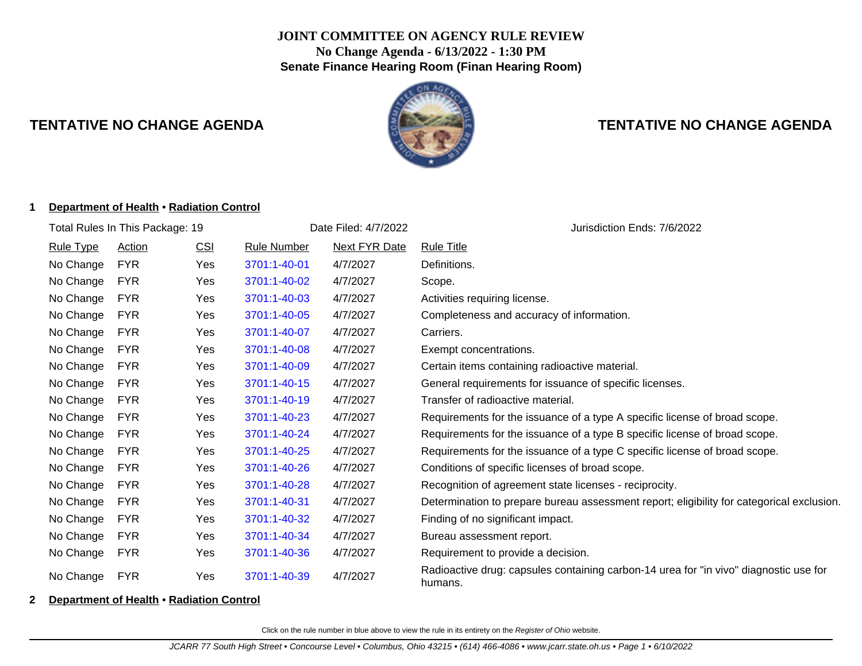## **JOINT COMMITTEE ON AGENCY RULE REVIEW No Change Agenda - 6/13/2022 - 1:30 PM Senate Finance Hearing Room (Finan Hearing Room)**



# **TENTATIVE NO CHANGE AGENDA TENTATIVE NO CHANGE AGENDA**

#### **1 Department of Health** • **Radiation Control**

| Total Rules In This Package: 19 |               |            |                    | Date Filed: 4/7/2022 | Jurisdiction Ends: 7/6/2022                                                                      |  |  |
|---------------------------------|---------------|------------|--------------------|----------------------|--------------------------------------------------------------------------------------------------|--|--|
| <b>Rule Type</b>                | <b>Action</b> | <u>CSI</u> | <b>Rule Number</b> | <b>Next FYR Date</b> | <b>Rule Title</b>                                                                                |  |  |
| No Change                       | <b>FYR</b>    | Yes        | 3701:1-40-01       | 4/7/2027             | Definitions.                                                                                     |  |  |
| No Change                       | <b>FYR</b>    | Yes        | 3701:1-40-02       | 4/7/2027             | Scope.                                                                                           |  |  |
| No Change                       | <b>FYR</b>    | Yes        | 3701:1-40-03       | 4/7/2027             | Activities requiring license.                                                                    |  |  |
| No Change                       | <b>FYR</b>    | Yes        | 3701:1-40-05       | 4/7/2027             | Completeness and accuracy of information.                                                        |  |  |
| No Change                       | <b>FYR</b>    | Yes        | 3701:1-40-07       | 4/7/2027             | Carriers.                                                                                        |  |  |
| No Change                       | <b>FYR</b>    | Yes        | 3701:1-40-08       | 4/7/2027             | Exempt concentrations.                                                                           |  |  |
| No Change                       | <b>FYR</b>    | Yes        | 3701:1-40-09       | 4/7/2027             | Certain items containing radioactive material.                                                   |  |  |
| No Change                       | <b>FYR</b>    | Yes        | 3701:1-40-15       | 4/7/2027             | General requirements for issuance of specific licenses.                                          |  |  |
| No Change                       | <b>FYR</b>    | Yes        | 3701:1-40-19       | 4/7/2027             | Transfer of radioactive material.                                                                |  |  |
| No Change                       | <b>FYR</b>    | Yes        | 3701:1-40-23       | 4/7/2027             | Requirements for the issuance of a type A specific license of broad scope.                       |  |  |
| No Change                       | <b>FYR</b>    | Yes        | 3701:1-40-24       | 4/7/2027             | Requirements for the issuance of a type B specific license of broad scope.                       |  |  |
| No Change                       | <b>FYR</b>    | <b>Yes</b> | 3701:1-40-25       | 4/7/2027             | Requirements for the issuance of a type C specific license of broad scope.                       |  |  |
| No Change                       | <b>FYR</b>    | Yes        | 3701:1-40-26       | 4/7/2027             | Conditions of specific licenses of broad scope.                                                  |  |  |
| No Change                       | <b>FYR</b>    | Yes        | 3701:1-40-28       | 4/7/2027             | Recognition of agreement state licenses - reciprocity.                                           |  |  |
| No Change                       | <b>FYR</b>    | Yes        | 3701:1-40-31       | 4/7/2027             | Determination to prepare bureau assessment report; eligibility for categorical exclusion.        |  |  |
| No Change                       | <b>FYR</b>    | Yes        | 3701:1-40-32       | 4/7/2027             | Finding of no significant impact.                                                                |  |  |
| No Change                       | <b>FYR</b>    | Yes        | 3701:1-40-34       | 4/7/2027             | Bureau assessment report.                                                                        |  |  |
| No Change                       | <b>FYR</b>    | Yes        | 3701:1-40-36       | 4/7/2027             | Requirement to provide a decision.                                                               |  |  |
| No Change                       | <b>FYR</b>    | Yes        | 3701:1-40-39       | 4/7/2027             | Radioactive drug: capsules containing carbon-14 urea for "in vivo" diagnostic use for<br>humans. |  |  |

#### **2 Department of Health** • **Radiation Control**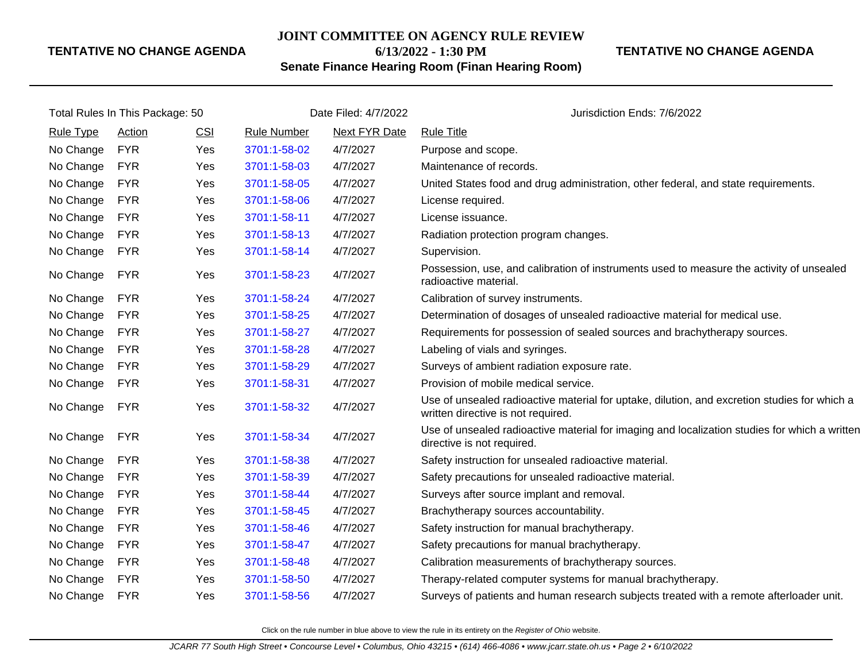#### **JOINT COMMITTEE ON AGENCY RULE REVIEW**

## **6/13/2022 - 1:30 PM**

**TENTATIVE NO CHANGE AGENDA**

## **Senate Finance Hearing Room (Finan Hearing Room)**

| Total Rules In This Package: 50 |            |            | Date Filed: 4/7/2022 |                      | Jurisdiction Ends: 7/6/2022                                                                                                        |  |
|---------------------------------|------------|------------|----------------------|----------------------|------------------------------------------------------------------------------------------------------------------------------------|--|
| <b>Rule Type</b>                | Action     | <b>CSI</b> | <b>Rule Number</b>   | <b>Next FYR Date</b> | <b>Rule Title</b>                                                                                                                  |  |
| No Change                       | <b>FYR</b> | Yes        | 3701:1-58-02         | 4/7/2027             | Purpose and scope.                                                                                                                 |  |
| No Change                       | <b>FYR</b> | Yes        | 3701:1-58-03         | 4/7/2027             | Maintenance of records.                                                                                                            |  |
| No Change                       | <b>FYR</b> | Yes        | 3701:1-58-05         | 4/7/2027             | United States food and drug administration, other federal, and state requirements.                                                 |  |
| No Change                       | <b>FYR</b> | Yes        | 3701:1-58-06         | 4/7/2027             | License required.                                                                                                                  |  |
| No Change                       | <b>FYR</b> | <b>Yes</b> | 3701:1-58-11         | 4/7/2027             | License issuance.                                                                                                                  |  |
| No Change                       | <b>FYR</b> | Yes        | 3701:1-58-13         | 4/7/2027             | Radiation protection program changes.                                                                                              |  |
| No Change                       | <b>FYR</b> | Yes        | 3701:1-58-14         | 4/7/2027             | Supervision.                                                                                                                       |  |
| No Change                       | <b>FYR</b> | Yes        | 3701:1-58-23         | 4/7/2027             | Possession, use, and calibration of instruments used to measure the activity of unsealed<br>radioactive material.                  |  |
| No Change                       | <b>FYR</b> | <b>Yes</b> | 3701:1-58-24         | 4/7/2027             | Calibration of survey instruments.                                                                                                 |  |
| No Change                       | <b>FYR</b> | Yes        | 3701:1-58-25         | 4/7/2027             | Determination of dosages of unsealed radioactive material for medical use.                                                         |  |
| No Change                       | <b>FYR</b> | Yes        | 3701:1-58-27         | 4/7/2027             | Requirements for possession of sealed sources and brachytherapy sources.                                                           |  |
| No Change                       | <b>FYR</b> | Yes        | 3701:1-58-28         | 4/7/2027             | Labeling of vials and syringes.                                                                                                    |  |
| No Change                       | <b>FYR</b> | Yes        | 3701:1-58-29         | 4/7/2027             | Surveys of ambient radiation exposure rate.                                                                                        |  |
| No Change                       | <b>FYR</b> | Yes        | 3701:1-58-31         | 4/7/2027             | Provision of mobile medical service.                                                                                               |  |
| No Change                       | <b>FYR</b> | Yes        | 3701:1-58-32         | 4/7/2027             | Use of unsealed radioactive material for uptake, dilution, and excretion studies for which a<br>written directive is not required. |  |
| No Change                       | <b>FYR</b> | Yes        | 3701:1-58-34         | 4/7/2027             | Use of unsealed radioactive material for imaging and localization studies for which a written<br>directive is not required.        |  |
| No Change                       | <b>FYR</b> | Yes        | 3701:1-58-38         | 4/7/2027             | Safety instruction for unsealed radioactive material.                                                                              |  |
| No Change                       | <b>FYR</b> | Yes        | 3701:1-58-39         | 4/7/2027             | Safety precautions for unsealed radioactive material.                                                                              |  |
| No Change                       | <b>FYR</b> | Yes        | 3701:1-58-44         | 4/7/2027             | Surveys after source implant and removal.                                                                                          |  |
| No Change                       | <b>FYR</b> | Yes        | 3701:1-58-45         | 4/7/2027             | Brachytherapy sources accountability.                                                                                              |  |
| No Change                       | <b>FYR</b> | Yes        | 3701:1-58-46         | 4/7/2027             | Safety instruction for manual brachytherapy.                                                                                       |  |
| No Change                       | <b>FYR</b> | Yes        | 3701:1-58-47         | 4/7/2027             | Safety precautions for manual brachytherapy.                                                                                       |  |
| No Change                       | <b>FYR</b> | Yes        | 3701:1-58-48         | 4/7/2027             | Calibration measurements of brachytherapy sources.                                                                                 |  |
| No Change                       | <b>FYR</b> | Yes        | 3701:1-58-50         | 4/7/2027             | Therapy-related computer systems for manual brachytherapy.                                                                         |  |
| No Change                       | FYR        | Yes        | 3701:1-58-56         | 4/7/2027             | Surveys of patients and human research subjects treated with a remote afterloader unit.                                            |  |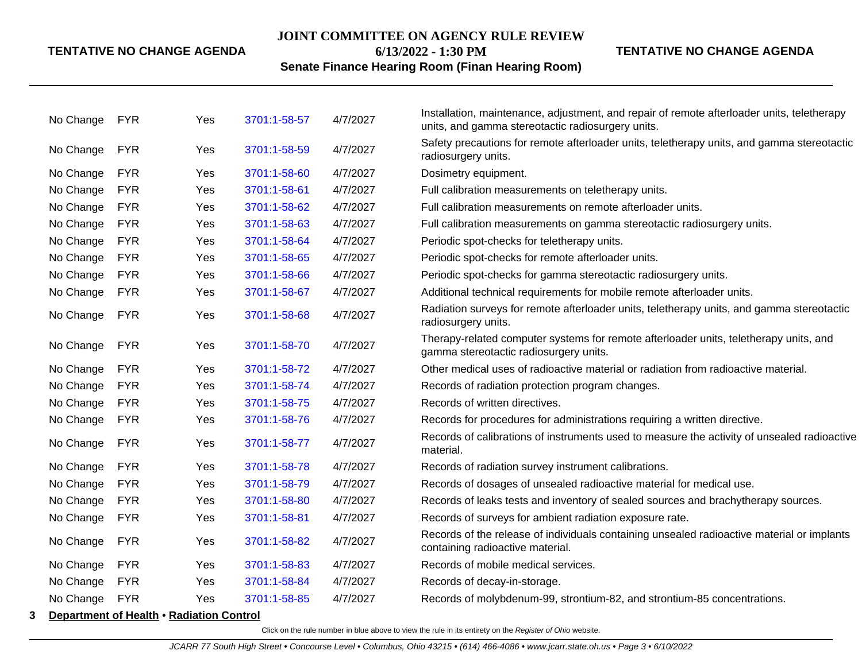#### **JOINT COMMITTEE ON AGENCY RULE REVIEW**

**6/13/2022 - 1:30 PM**

**TENTATIVE NO CHANGE AGENDA**

## **Senate Finance Hearing Room (Finan Hearing Room)**

|   | No Change | <b>FYR</b>                               | Yes | 3701:1-58-57 | 4/7/2027 | Installation, maintenance, adjustment, and repair of remote afterloader units, teletherapy<br>units, and gamma stereotactic radiosurgery units. |
|---|-----------|------------------------------------------|-----|--------------|----------|-------------------------------------------------------------------------------------------------------------------------------------------------|
|   | No Change | <b>FYR</b>                               | Yes | 3701:1-58-59 | 4/7/2027 | Safety precautions for remote afterloader units, teletherapy units, and gamma stereotactic<br>radiosurgery units.                               |
|   | No Change | <b>FYR</b>                               | Yes | 3701:1-58-60 | 4/7/2027 | Dosimetry equipment.                                                                                                                            |
|   | No Change | <b>FYR</b>                               | Yes | 3701:1-58-61 | 4/7/2027 | Full calibration measurements on teletherapy units.                                                                                             |
|   | No Change | <b>FYR</b>                               | Yes | 3701:1-58-62 | 4/7/2027 | Full calibration measurements on remote afterloader units.                                                                                      |
|   | No Change | <b>FYR</b>                               | Yes | 3701:1-58-63 | 4/7/2027 | Full calibration measurements on gamma stereotactic radiosurgery units.                                                                         |
|   | No Change | <b>FYR</b>                               | Yes | 3701:1-58-64 | 4/7/2027 | Periodic spot-checks for teletherapy units.                                                                                                     |
|   | No Change | <b>FYR</b>                               | Yes | 3701:1-58-65 | 4/7/2027 | Periodic spot-checks for remote afterloader units.                                                                                              |
|   | No Change | <b>FYR</b>                               | Yes | 3701:1-58-66 | 4/7/2027 | Periodic spot-checks for gamma stereotactic radiosurgery units.                                                                                 |
|   | No Change | <b>FYR</b>                               | Yes | 3701:1-58-67 | 4/7/2027 | Additional technical requirements for mobile remote afterloader units.                                                                          |
|   | No Change | <b>FYR</b>                               | Yes | 3701:1-58-68 | 4/7/2027 | Radiation surveys for remote afterloader units, teletherapy units, and gamma stereotactic<br>radiosurgery units.                                |
|   | No Change | <b>FYR</b>                               | Yes | 3701:1-58-70 | 4/7/2027 | Therapy-related computer systems for remote afterloader units, teletherapy units, and<br>gamma stereotactic radiosurgery units.                 |
|   | No Change | <b>FYR</b>                               | Yes | 3701:1-58-72 | 4/7/2027 | Other medical uses of radioactive material or radiation from radioactive material.                                                              |
|   | No Change | <b>FYR</b>                               | Yes | 3701:1-58-74 | 4/7/2027 | Records of radiation protection program changes.                                                                                                |
|   | No Change | <b>FYR</b>                               | Yes | 3701:1-58-75 | 4/7/2027 | Records of written directives.                                                                                                                  |
|   | No Change | <b>FYR</b>                               | Yes | 3701:1-58-76 | 4/7/2027 | Records for procedures for administrations requiring a written directive.                                                                       |
|   | No Change | <b>FYR</b>                               | Yes | 3701:1-58-77 | 4/7/2027 | Records of calibrations of instruments used to measure the activity of unsealed radioactive<br>material.                                        |
|   | No Change | <b>FYR</b>                               | Yes | 3701:1-58-78 | 4/7/2027 | Records of radiation survey instrument calibrations.                                                                                            |
|   | No Change | <b>FYR</b>                               | Yes | 3701:1-58-79 | 4/7/2027 | Records of dosages of unsealed radioactive material for medical use.                                                                            |
|   | No Change | <b>FYR</b>                               | Yes | 3701:1-58-80 | 4/7/2027 | Records of leaks tests and inventory of sealed sources and brachytherapy sources.                                                               |
|   | No Change | <b>FYR</b>                               | Yes | 3701:1-58-81 | 4/7/2027 | Records of surveys for ambient radiation exposure rate.                                                                                         |
|   | No Change | <b>FYR</b>                               | Yes | 3701:1-58-82 | 4/7/2027 | Records of the release of individuals containing unsealed radioactive material or implants<br>containing radioactive material.                  |
|   | No Change | <b>FYR</b>                               | Yes | 3701:1-58-83 | 4/7/2027 | Records of mobile medical services.                                                                                                             |
|   | No Change | <b>FYR</b>                               | Yes | 3701:1-58-84 | 4/7/2027 | Records of decay-in-storage.                                                                                                                    |
|   | No Change | <b>FYR</b>                               | Yes | 3701:1-58-85 | 4/7/2027 | Records of molybdenum-99, strontium-82, and strontium-85 concentrations.                                                                        |
| 3 |           | Department of Health • Radiation Control |     |              |          |                                                                                                                                                 |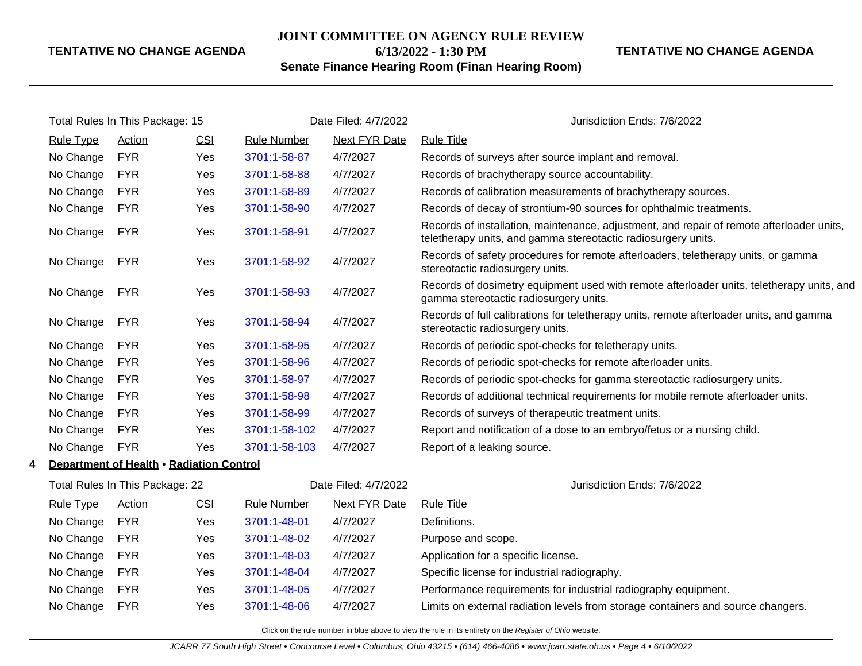#### **JOINT COMMITTEE ON AGENCY RULE REVIEW**

**6/13/2022 - 1:30 PM**

## **Senate Finance Hearing Room (Finan Hearing Room)**

### **TENTATIVE NO CHANGE AGENDA**

|   | Total Rules In This Package: 15          |                                 | Date Filed: 4/7/2022 |                    | Jurisdiction Ends: 7/6/2022 |                                                                                                                                                            |  |
|---|------------------------------------------|---------------------------------|----------------------|--------------------|-----------------------------|------------------------------------------------------------------------------------------------------------------------------------------------------------|--|
|   | <b>Rule Type</b>                         | <b>Action</b>                   | CSI                  | <b>Rule Number</b> | <b>Next FYR Date</b>        | <b>Rule Title</b>                                                                                                                                          |  |
|   | No Change                                | <b>FYR</b>                      | Yes                  | 3701:1-58-87       | 4/7/2027                    | Records of surveys after source implant and removal.                                                                                                       |  |
|   | No Change                                | <b>FYR</b>                      | Yes                  | 3701:1-58-88       | 4/7/2027                    | Records of brachytherapy source accountability.                                                                                                            |  |
|   | No Change                                | <b>FYR</b>                      | Yes                  | 3701:1-58-89       | 4/7/2027                    | Records of calibration measurements of brachytherapy sources.                                                                                              |  |
|   | No Change                                | <b>FYR</b>                      | Yes                  | 3701:1-58-90       | 4/7/2027                    | Records of decay of strontium-90 sources for ophthalmic treatments.                                                                                        |  |
|   | No Change                                | <b>FYR</b>                      | Yes                  | 3701:1-58-91       | 4/7/2027                    | Records of installation, maintenance, adjustment, and repair of remote afterloader units,<br>teletherapy units, and gamma stereotactic radiosurgery units. |  |
|   | No Change                                | <b>FYR</b>                      | Yes                  | 3701:1-58-92       | 4/7/2027                    | Records of safety procedures for remote afterloaders, teletherapy units, or gamma<br>stereotactic radiosurgery units.                                      |  |
|   | No Change                                | <b>FYR</b>                      | Yes                  | 3701:1-58-93       | 4/7/2027                    | Records of dosimetry equipment used with remote afterloader units, teletherapy units, and<br>gamma stereotactic radiosurgery units.                        |  |
|   | No Change                                | <b>FYR</b>                      | Yes                  | 3701:1-58-94       | 4/7/2027                    | Records of full calibrations for teletherapy units, remote afterloader units, and gamma<br>stereotactic radiosurgery units.                                |  |
|   | No Change                                | <b>FYR</b>                      | Yes                  | 3701:1-58-95       | 4/7/2027                    | Records of periodic spot-checks for teletherapy units.                                                                                                     |  |
|   | No Change                                | <b>FYR</b>                      | Yes                  | 3701:1-58-96       | 4/7/2027                    | Records of periodic spot-checks for remote afterloader units.                                                                                              |  |
|   | No Change                                | <b>FYR</b>                      | Yes                  | 3701:1-58-97       | 4/7/2027                    | Records of periodic spot-checks for gamma stereotactic radiosurgery units.                                                                                 |  |
|   | No Change                                | <b>FYR</b>                      | Yes                  | 3701:1-58-98       | 4/7/2027                    | Records of additional technical requirements for mobile remote afterloader units.                                                                          |  |
|   | No Change                                | <b>FYR</b>                      | Yes                  | 3701:1-58-99       | 4/7/2027                    | Records of surveys of therapeutic treatment units.                                                                                                         |  |
|   | No Change                                | <b>FYR</b>                      | Yes                  | 3701:1-58-102      | 4/7/2027                    | Report and notification of a dose to an embryo/fetus or a nursing child.                                                                                   |  |
|   | No Change                                | <b>FYR</b>                      | Yes                  | 3701:1-58-103      | 4/7/2027                    | Report of a leaking source.                                                                                                                                |  |
| 4 | Department of Health . Radiation Control |                                 |                      |                    |                             |                                                                                                                                                            |  |
|   |                                          | Total Rules In This Package: 22 |                      |                    | Date Filed: 4/7/2022        | Jurisdiction Ends: 7/6/2022                                                                                                                                |  |
|   | <b>Rule Type</b>                         | Action                          | <b>CSI</b>           | <b>Rule Number</b> | Next FYR Date               | <b>Rule Title</b>                                                                                                                                          |  |
|   | No Change                                | <b>FYR</b>                      | Yes                  | 3701:1-48-01       | 4/7/2027                    | Definitions.                                                                                                                                               |  |
|   | No Change                                | <b>FYR</b>                      | Yes                  | 3701:1-48-02       | 4/7/2027                    | Purpose and scope.                                                                                                                                         |  |
|   | No Change                                | <b>FYR</b>                      | Yes                  | 3701:1-48-03       | 4/7/2027                    | Application for a specific license.                                                                                                                        |  |
|   | No Change                                | <b>FYR</b>                      | Yes                  | 3701:1-48-04       | 4/7/2027                    | Specific license for industrial radiography.                                                                                                               |  |
|   | No Change                                | <b>FYR</b>                      | Yes                  | 3701:1-48-05       | 4/7/2027                    | Performance requirements for industrial radiography equipment.                                                                                             |  |
|   | No Change                                | <b>FYR</b>                      | Yes                  | 3701:1-48-06       | 4/7/2027                    | Limits on external radiation levels from storage containers and source changers.                                                                           |  |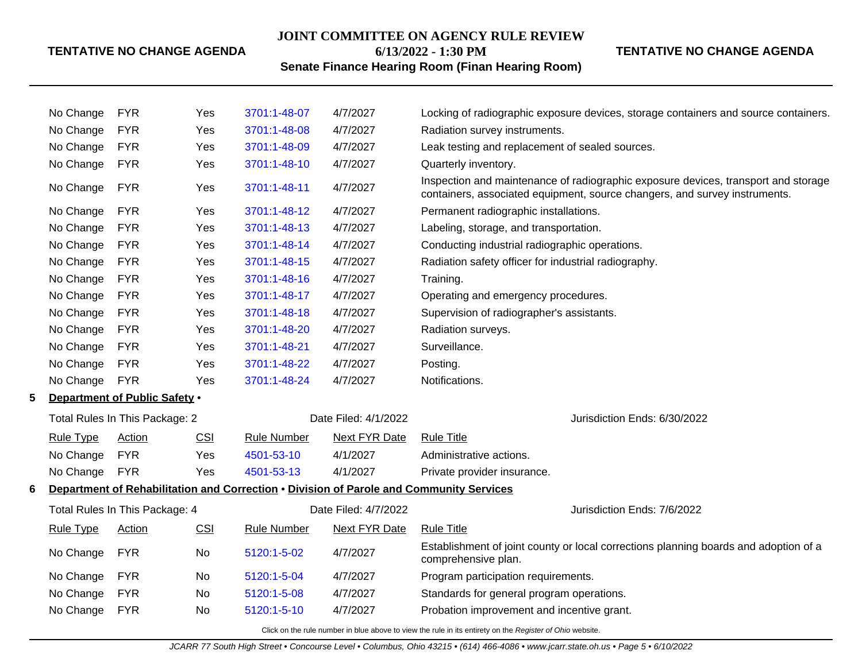## **JOINT COMMITTEE ON AGENCY RULE REVIEW 6/13/2022 - 1:30 PM**

## **TENTATIVE NO CHANGE AGENDA**

## **Senate Finance Hearing Room (Finan Hearing Room)**

|                                                                                              | No Change                      | <b>FYR</b>                           | Yes | 3701:1-48-07       | 4/7/2027             | Locking of radiographic exposure devices, storage containers and source containers.                                                                              |
|----------------------------------------------------------------------------------------------|--------------------------------|--------------------------------------|-----|--------------------|----------------------|------------------------------------------------------------------------------------------------------------------------------------------------------------------|
|                                                                                              | No Change                      | <b>FYR</b>                           | Yes | 3701:1-48-08       | 4/7/2027             | Radiation survey instruments.                                                                                                                                    |
|                                                                                              | No Change                      | <b>FYR</b>                           | Yes | 3701:1-48-09       | 4/7/2027             | Leak testing and replacement of sealed sources.                                                                                                                  |
|                                                                                              | No Change                      | <b>FYR</b>                           | Yes | 3701:1-48-10       | 4/7/2027             | Quarterly inventory.                                                                                                                                             |
|                                                                                              | No Change                      | <b>FYR</b>                           | Yes | 3701:1-48-11       | 4/7/2027             | Inspection and maintenance of radiographic exposure devices, transport and storage<br>containers, associated equipment, source changers, and survey instruments. |
|                                                                                              | No Change                      | <b>FYR</b>                           | Yes | 3701:1-48-12       | 4/7/2027             | Permanent radiographic installations.                                                                                                                            |
|                                                                                              | No Change                      | <b>FYR</b>                           | Yes | 3701:1-48-13       | 4/7/2027             | Labeling, storage, and transportation.                                                                                                                           |
|                                                                                              | No Change                      | <b>FYR</b>                           | Yes | 3701:1-48-14       | 4/7/2027             | Conducting industrial radiographic operations.                                                                                                                   |
|                                                                                              | No Change                      | <b>FYR</b>                           | Yes | 3701:1-48-15       | 4/7/2027             | Radiation safety officer for industrial radiography.                                                                                                             |
|                                                                                              | No Change                      | <b>FYR</b>                           | Yes | 3701:1-48-16       | 4/7/2027             | Training.                                                                                                                                                        |
|                                                                                              | No Change                      | <b>FYR</b>                           | Yes | 3701:1-48-17       | 4/7/2027             | Operating and emergency procedures.                                                                                                                              |
|                                                                                              | No Change                      | <b>FYR</b>                           | Yes | 3701:1-48-18       | 4/7/2027             | Supervision of radiographer's assistants.                                                                                                                        |
|                                                                                              | No Change                      | <b>FYR</b>                           | Yes | 3701:1-48-20       | 4/7/2027             | Radiation surveys.                                                                                                                                               |
|                                                                                              | No Change                      | <b>FYR</b>                           | Yes | 3701:1-48-21       | 4/7/2027             | Surveillance.                                                                                                                                                    |
|                                                                                              | No Change                      | <b>FYR</b>                           | Yes | 3701:1-48-22       | 4/7/2027             | Posting.                                                                                                                                                         |
|                                                                                              | No Change                      | <b>FYR</b>                           | Yes | 3701:1-48-24       | 4/7/2027             | Notifications.                                                                                                                                                   |
| 5                                                                                            |                                | <b>Department of Public Safety .</b> |     |                    |                      |                                                                                                                                                                  |
|                                                                                              | Total Rules In This Package: 2 |                                      |     |                    | Date Filed: 4/1/2022 | Jurisdiction Ends: 6/30/2022                                                                                                                                     |
|                                                                                              | <b>Rule Type</b>               | Action                               | CSI | <b>Rule Number</b> | <b>Next FYR Date</b> | <b>Rule Title</b>                                                                                                                                                |
|                                                                                              | No Change                      | <b>FYR</b>                           | Yes | 4501-53-10         | 4/1/2027             | Administrative actions.                                                                                                                                          |
|                                                                                              | No Change                      | <b>FYR</b>                           | Yes | 4501-53-13         | 4/1/2027             | Private provider insurance.                                                                                                                                      |
| Department of Rehabilitation and Correction . Division of Parole and Community Services<br>6 |                                |                                      |     |                    |                      |                                                                                                                                                                  |
|                                                                                              |                                | Total Rules In This Package: 4       |     |                    | Date Filed: 4/7/2022 | Jurisdiction Ends: 7/6/2022                                                                                                                                      |
|                                                                                              | <b>Rule Type</b>               | <b>Action</b>                        | CSI | <b>Rule Number</b> | <b>Next FYR Date</b> | <b>Rule Title</b>                                                                                                                                                |
|                                                                                              | No Change                      | <b>FYR</b>                           | No  | 5120:1-5-02        | 4/7/2027             | Establishment of joint county or local corrections planning boards and adoption of a<br>comprehensive plan.                                                      |
|                                                                                              | No Change                      | <b>FYR</b>                           | No  | 5120:1-5-04        | 4/7/2027             | Program participation requirements.                                                                                                                              |
|                                                                                              | No Change                      | <b>FYR</b>                           | No  | 5120:1-5-08        | 4/7/2027             | Standards for general program operations.                                                                                                                        |
|                                                                                              | No Change                      | <b>FYR</b>                           | No. | 5120:1-5-10        | 4/7/2027             | Probation improvement and incentive grant.                                                                                                                       |
|                                                                                              |                                |                                      |     |                    |                      |                                                                                                                                                                  |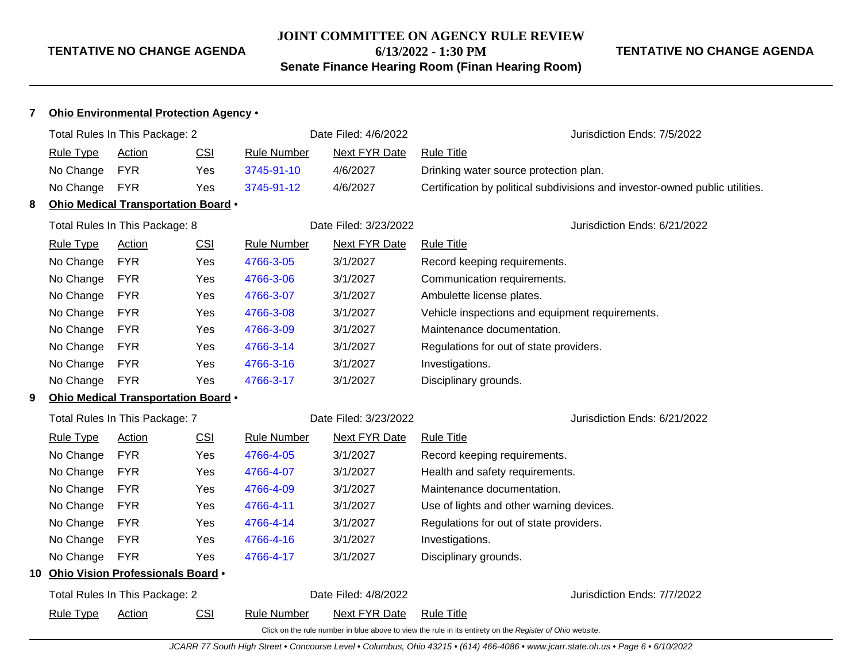## **JOINT COMMITTEE ON AGENCY RULE REVIEW**

**6/13/2022 - 1:30 PM**

**Senate Finance Hearing Room (Finan Hearing Room)**

## **TENTATIVE NO CHANGE AGENDA**

| 7 | Ohio Environmental Protection Agency . |                                      |            |                    |                       |                                                                                                          |                                                                              |
|---|----------------------------------------|--------------------------------------|------------|--------------------|-----------------------|----------------------------------------------------------------------------------------------------------|------------------------------------------------------------------------------|
|   |                                        | Total Rules In This Package: 2       |            |                    | Date Filed: 4/6/2022  |                                                                                                          | Jurisdiction Ends: 7/5/2022                                                  |
|   | <b>Rule Type</b>                       | Action                               | <b>CSI</b> | <b>Rule Number</b> | <b>Next FYR Date</b>  | <b>Rule Title</b>                                                                                        |                                                                              |
|   | No Change                              | <b>FYR</b>                           | Yes        | 3745-91-10         | 4/6/2027              | Drinking water source protection plan.                                                                   |                                                                              |
|   | No Change                              | <b>FYR</b>                           | Yes        | 3745-91-12         | 4/6/2027              |                                                                                                          | Certification by political subdivisions and investor-owned public utilities. |
| 8 |                                        | Ohio Medical Transportation Board .  |            |                    |                       |                                                                                                          |                                                                              |
|   |                                        | Total Rules In This Package: 8       |            |                    | Date Filed: 3/23/2022 |                                                                                                          | Jurisdiction Ends: 6/21/2022                                                 |
|   | <b>Rule Type</b>                       | <b>Action</b>                        | <b>CSI</b> | <b>Rule Number</b> | <b>Next FYR Date</b>  | <b>Rule Title</b>                                                                                        |                                                                              |
|   | No Change                              | <b>FYR</b>                           | Yes        | 4766-3-05          | 3/1/2027              | Record keeping requirements.                                                                             |                                                                              |
|   | No Change                              | <b>FYR</b>                           | Yes        | 4766-3-06          | 3/1/2027              | Communication requirements.                                                                              |                                                                              |
|   | No Change                              | <b>FYR</b>                           | Yes        | 4766-3-07          | 3/1/2027              | Ambulette license plates.                                                                                |                                                                              |
|   | No Change                              | <b>FYR</b>                           | Yes        | 4766-3-08          | 3/1/2027              | Vehicle inspections and equipment requirements.                                                          |                                                                              |
|   | No Change                              | <b>FYR</b>                           | Yes        | 4766-3-09          | 3/1/2027              | Maintenance documentation.                                                                               |                                                                              |
|   | No Change                              | <b>FYR</b>                           | Yes        | 4766-3-14          | 3/1/2027              | Regulations for out of state providers.                                                                  |                                                                              |
|   | No Change                              | <b>FYR</b>                           | <b>Yes</b> | 4766-3-16          | 3/1/2027              | Investigations.                                                                                          |                                                                              |
|   | No Change                              | <b>FYR</b>                           | Yes        | 4766-3-17          | 3/1/2027              | Disciplinary grounds.                                                                                    |                                                                              |
| 9 |                                        | Ohio Medical Transportation Board .  |            |                    |                       |                                                                                                          |                                                                              |
|   |                                        | Total Rules In This Package: 7       |            |                    | Date Filed: 3/23/2022 |                                                                                                          | Jurisdiction Ends: 6/21/2022                                                 |
|   | <b>Rule Type</b>                       | Action                               | <b>CSI</b> | <b>Rule Number</b> | <b>Next FYR Date</b>  | <b>Rule Title</b>                                                                                        |                                                                              |
|   | No Change                              | <b>FYR</b>                           | Yes        | 4766-4-05          | 3/1/2027              | Record keeping requirements.                                                                             |                                                                              |
|   | No Change                              | <b>FYR</b>                           | Yes        | 4766-4-07          | 3/1/2027              | Health and safety requirements.                                                                          |                                                                              |
|   | No Change                              | <b>FYR</b>                           | <b>Yes</b> | 4766-4-09          | 3/1/2027              | Maintenance documentation.                                                                               |                                                                              |
|   | No Change                              | <b>FYR</b>                           | Yes        | 4766-4-11          | 3/1/2027              | Use of lights and other warning devices.                                                                 |                                                                              |
|   | No Change                              | <b>FYR</b>                           | <b>Yes</b> | 4766-4-14          | 3/1/2027              | Regulations for out of state providers.                                                                  |                                                                              |
|   | No Change                              | <b>FYR</b>                           | <b>Yes</b> | 4766-4-16          | 3/1/2027              | Investigations.                                                                                          |                                                                              |
|   | No Change                              | <b>FYR</b>                           | Yes        | 4766-4-17          | 3/1/2027              | Disciplinary grounds.                                                                                    |                                                                              |
|   |                                        | 10 Ohio Vision Professionals Board . |            |                    |                       |                                                                                                          |                                                                              |
|   |                                        | Total Rules In This Package: 2       |            |                    | Date Filed: 4/8/2022  |                                                                                                          | Jurisdiction Ends: 7/7/2022                                                  |
|   | <b>Rule Type</b>                       | Action                               | CSI        | <b>Rule Number</b> | Next FYR Date         | <b>Rule Title</b>                                                                                        |                                                                              |
|   |                                        |                                      |            |                    |                       | Click on the rule number in blue above to view the rule in its entirety on the Register of Ohio website. |                                                                              |

JCARR 77 South High Street • Concourse Level • Columbus, Ohio 43215 • (614) 466-4086 • www.jcarr.state.oh.us • Page 6 • 6/10/2022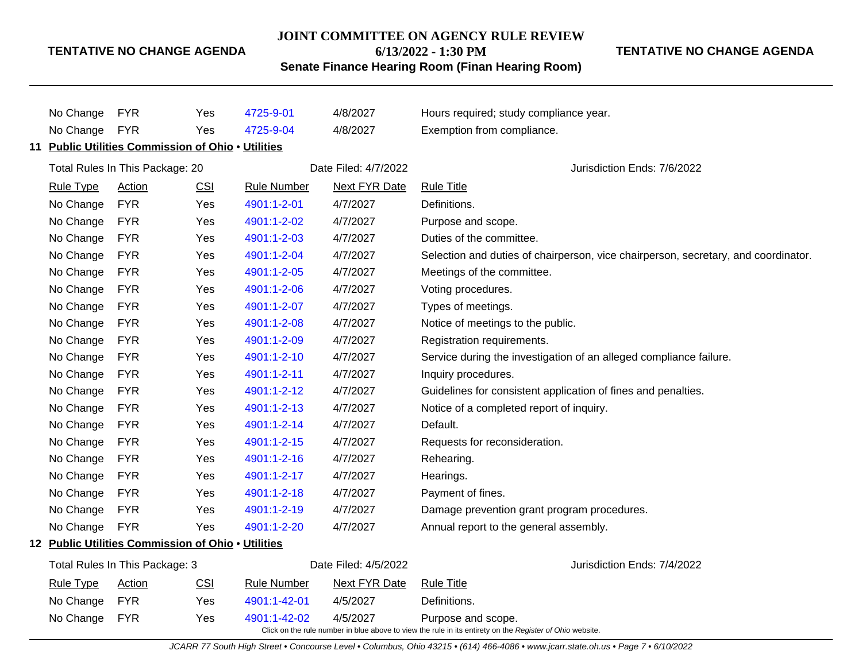#### **JOINT COMMITTEE ON AGENCY RULE REVIEW**

**6/13/2022 - 1:30 PM**

**TENTATIVE NO CHANGE AGENDA**

**Senate Finance Hearing Room (Finan Hearing Room)**

No Change FYR Yes [4725-9-01](http://www.registerofohio.state.oh.us/jsps/publicdisplayrules/processPublicDisplayRules.jsp?entered_rule_no=4725-9-01&doWhat=GETBYRULENUM&raID=0) 4/8/2027 Hours required; study compliance year. No Change FYR Yes [4725-9-04](http://www.registerofohio.state.oh.us/jsps/publicdisplayrules/processPublicDisplayRules.jsp?entered_rule_no=4725-9-04&doWhat=GETBYRULENUM&raID=0) 4/8/2027 Exemption from compliance. **11 Public Utilities Commission of Ohio** • **Utilities** Total Rules In This Package: 20 **Date Filed: 4/7/2022** Jurisdiction Ends: 7/6/2022 Rule Type Action CSI Rule Number Next FYR Date Rule Title No Change FYR Yes [4901:1-2-01](http://www.registerofohio.state.oh.us/jsps/publicdisplayrules/processPublicDisplayRules.jsp?entered_rule_no=4901:1-2-01&doWhat=GETBYRULENUM&raID=0) 4/7/2027 Definitions. No Change FYR Yes [4901:1-2-02](http://www.registerofohio.state.oh.us/jsps/publicdisplayrules/processPublicDisplayRules.jsp?entered_rule_no=4901:1-2-02&doWhat=GETBYRULENUM&raID=0) 4/7/2027 Purpose and scope. No Change FYR Yes [4901:1-2-03](http://www.registerofohio.state.oh.us/jsps/publicdisplayrules/processPublicDisplayRules.jsp?entered_rule_no=4901:1-2-03&doWhat=GETBYRULENUM&raID=0) 4/7/2027 Duties of the committee. No Change FYR Yes [4901:1-2-04](http://www.registerofohio.state.oh.us/jsps/publicdisplayrules/processPublicDisplayRules.jsp?entered_rule_no=4901:1-2-04&doWhat=GETBYRULENUM&raID=0) 4/7/2027 Selection and duties of chairperson, vice chairperson, secretary, and coordinator. No Change FYR Yes [4901:1-2-05](http://www.registerofohio.state.oh.us/jsps/publicdisplayrules/processPublicDisplayRules.jsp?entered_rule_no=4901:1-2-05&doWhat=GETBYRULENUM&raID=0) 4/7/2027 Meetings of the committee. No Change FYR Yes [4901:1-2-06](http://www.registerofohio.state.oh.us/jsps/publicdisplayrules/processPublicDisplayRules.jsp?entered_rule_no=4901:1-2-06&doWhat=GETBYRULENUM&raID=0) 4/7/2027 Voting procedures. No Change FYR Yes [4901:1-2-07](http://www.registerofohio.state.oh.us/jsps/publicdisplayrules/processPublicDisplayRules.jsp?entered_rule_no=4901:1-2-07&doWhat=GETBYRULENUM&raID=0) 4/7/2027 Types of meetings. No Change FYR Yes [4901:1-2-08](http://www.registerofohio.state.oh.us/jsps/publicdisplayrules/processPublicDisplayRules.jsp?entered_rule_no=4901:1-2-08&doWhat=GETBYRULENUM&raID=0) 4/7/2027 Notice of meetings to the public. No Change FYR Yes [4901:1-2-09](http://www.registerofohio.state.oh.us/jsps/publicdisplayrules/processPublicDisplayRules.jsp?entered_rule_no=4901:1-2-09&doWhat=GETBYRULENUM&raID=0) 4/7/2027 Registration requirements. No Change FYR Yes [4901:1-2-10](http://www.registerofohio.state.oh.us/jsps/publicdisplayrules/processPublicDisplayRules.jsp?entered_rule_no=4901:1-2-10&doWhat=GETBYRULENUM&raID=0) 4/7/2027 Service during the investigation of an alleged compliance failure. No Change FYR Yes [4901:1-2-11](http://www.registerofohio.state.oh.us/jsps/publicdisplayrules/processPublicDisplayRules.jsp?entered_rule_no=4901:1-2-11&doWhat=GETBYRULENUM&raID=0) 4/7/2027 Inquiry procedures. No Change FYR Yes [4901:1-2-12](http://www.registerofohio.state.oh.us/jsps/publicdisplayrules/processPublicDisplayRules.jsp?entered_rule_no=4901:1-2-12&doWhat=GETBYRULENUM&raID=0) 4/7/2027 Guidelines for consistent application of fines and penalties. No Change FYR Yes [4901:1-2-13](http://www.registerofohio.state.oh.us/jsps/publicdisplayrules/processPublicDisplayRules.jsp?entered_rule_no=4901:1-2-13&doWhat=GETBYRULENUM&raID=0) 4/7/2027 Notice of a completed report of inquiry. No Change FYR Yes [4901:1-2-14](http://www.registerofohio.state.oh.us/jsps/publicdisplayrules/processPublicDisplayRules.jsp?entered_rule_no=4901:1-2-14&doWhat=GETBYRULENUM&raID=0) 4/7/2027 Default. No Change FYR Yes [4901:1-2-15](http://www.registerofohio.state.oh.us/jsps/publicdisplayrules/processPublicDisplayRules.jsp?entered_rule_no=4901:1-2-15&doWhat=GETBYRULENUM&raID=0) 4/7/2027 Requests for reconsideration. No Change FYR Yes [4901:1-2-16](http://www.registerofohio.state.oh.us/jsps/publicdisplayrules/processPublicDisplayRules.jsp?entered_rule_no=4901:1-2-16&doWhat=GETBYRULENUM&raID=0) 4/7/2027 Rehearing. No Change FYR Yes [4901:1-2-17](http://www.registerofohio.state.oh.us/jsps/publicdisplayrules/processPublicDisplayRules.jsp?entered_rule_no=4901:1-2-17&doWhat=GETBYRULENUM&raID=0) 4/7/2027 Hearings. No Change FYR Yes [4901:1-2-18](http://www.registerofohio.state.oh.us/jsps/publicdisplayrules/processPublicDisplayRules.jsp?entered_rule_no=4901:1-2-18&doWhat=GETBYRULENUM&raID=0) 4/7/2027 Payment of fines. No Change FYR Yes [4901:1-2-19](http://www.registerofohio.state.oh.us/jsps/publicdisplayrules/processPublicDisplayRules.jsp?entered_rule_no=4901:1-2-19&doWhat=GETBYRULENUM&raID=0) 4/7/2027 Damage prevention grant program procedures. No Change FYR Yes [4901:1-2-20](http://www.registerofohio.state.oh.us/jsps/publicdisplayrules/processPublicDisplayRules.jsp?entered_rule_no=4901:1-2-20&doWhat=GETBYRULENUM&raID=0) 4/7/2027 Annual report to the general assembly. **12 Public Utilities Commission of Ohio** • **Utilities** Total Rules In This Package: 3 **Date Filed: 4/5/2022** Jurisdiction Ends: 7/4/2022 Rule Type Action CSI Rule Number Next FYR Date Rule Title No Change FYR Yes [4901:1-42-01](http://www.registerofohio.state.oh.us/jsps/publicdisplayrules/processPublicDisplayRules.jsp?entered_rule_no=4901:1-42-01&doWhat=GETBYRULENUM&raID=0) 4/5/2027 Definitions. No Change FYR Yes [4901:1-42-02](http://www.registerofohio.state.oh.us/jsps/publicdisplayrules/processPublicDisplayRules.jsp?entered_rule_no=4901:1-42-02&doWhat=GETBYRULENUM&raID=0) 4/5/2027 Purpose and scope. Click on the rule number in blue above to view the rule in its entirety on the Register of Ohio website.

JCARR 77 South High Street • Concourse Level • Columbus, Ohio 43215 • (614) 466-4086 • www.jcarr.state.oh.us • Page 7 • 6/10/2022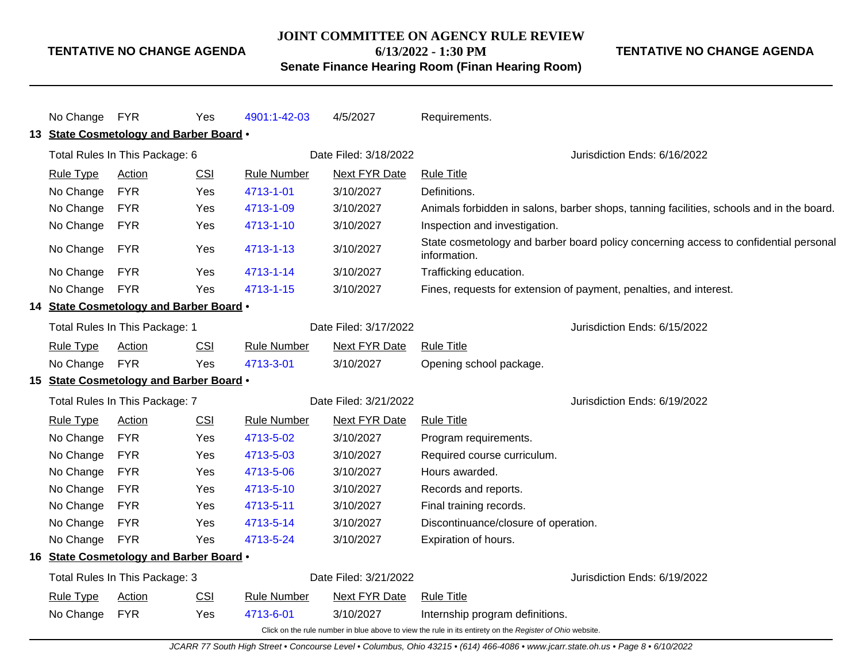#### **JOINT COMMITTEE ON AGENCY RULE REVIEW**

**6/13/2022 - 1:30 PM**

**TENTATIVE NO CHANGE AGENDA**

## **Senate Finance Hearing Room (Finan Hearing Room)**

|                                          | No Change FYR                  |                                         | Yes                  | 4901:1-42-03          | 4/5/2027                                                                                                 | Requirements.                                                                                        |
|------------------------------------------|--------------------------------|-----------------------------------------|----------------------|-----------------------|----------------------------------------------------------------------------------------------------------|------------------------------------------------------------------------------------------------------|
|                                          |                                | 13 State Cosmetology and Barber Board . |                      |                       |                                                                                                          |                                                                                                      |
|                                          | Total Rules In This Package: 6 |                                         |                      |                       | Date Filed: 3/18/2022                                                                                    | Jurisdiction Ends: 6/16/2022                                                                         |
|                                          |                                |                                         |                      |                       |                                                                                                          |                                                                                                      |
|                                          | <b>Rule Type</b>               | <b>Action</b>                           | CSI                  | <b>Rule Number</b>    | <b>Next FYR Date</b>                                                                                     | <b>Rule Title</b>                                                                                    |
|                                          | No Change                      | <b>FYR</b>                              | <b>Yes</b>           | 4713-1-01             | 3/10/2027                                                                                                | Definitions.                                                                                         |
|                                          | No Change                      | <b>FYR</b>                              | Yes                  | 4713-1-09             | 3/10/2027                                                                                                | Animals forbidden in salons, barber shops, tanning facilities, schools and in the board.             |
|                                          | No Change                      | <b>FYR</b>                              | Yes                  | 4713-1-10             | 3/10/2027                                                                                                | Inspection and investigation.                                                                        |
|                                          | No Change                      | <b>FYR</b>                              | Yes                  | 4713-1-13             | 3/10/2027                                                                                                | State cosmetology and barber board policy concerning access to confidential personal<br>information. |
|                                          | No Change                      | <b>FYR</b>                              | Yes                  | 4713-1-14             | 3/10/2027                                                                                                | Trafficking education.                                                                               |
|                                          | No Change                      | <b>FYR</b>                              | Yes                  | 4713-1-15             | 3/10/2027                                                                                                | Fines, requests for extension of payment, penalties, and interest.                                   |
|                                          |                                | 14 State Cosmetology and Barber Board . |                      |                       |                                                                                                          |                                                                                                      |
|                                          | Total Rules In This Package: 1 |                                         |                      | Date Filed: 3/17/2022 |                                                                                                          | Jurisdiction Ends: 6/15/2022                                                                         |
| <b>Rule Type</b><br><b>CSI</b><br>Action |                                | <b>Rule Number</b>                      | <b>Next FYR Date</b> | <b>Rule Title</b>     |                                                                                                          |                                                                                                      |
|                                          | No Change                      | <b>FYR</b>                              | Yes                  | 4713-3-01             | 3/10/2027                                                                                                | Opening school package.                                                                              |
| 15 State Cosmetology and Barber Board .  |                                |                                         |                      |                       |                                                                                                          |                                                                                                      |
|                                          | Total Rules In This Package: 7 |                                         |                      |                       | Date Filed: 3/21/2022                                                                                    | Jurisdiction Ends: 6/19/2022                                                                         |
|                                          | <b>Rule Type</b>               | Action                                  | <b>CSI</b>           | <b>Rule Number</b>    | Next FYR Date                                                                                            | <b>Rule Title</b>                                                                                    |
|                                          | No Change                      | <b>FYR</b>                              | Yes                  | 4713-5-02             | 3/10/2027                                                                                                | Program requirements.                                                                                |
|                                          | No Change                      | <b>FYR</b>                              | Yes                  | 4713-5-03             | 3/10/2027                                                                                                | Required course curriculum.                                                                          |
|                                          | No Change                      | <b>FYR</b>                              | Yes                  | 4713-5-06             | 3/10/2027                                                                                                | Hours awarded.                                                                                       |
|                                          | No Change                      | <b>FYR</b>                              | Yes                  | 4713-5-10             | 3/10/2027                                                                                                | Records and reports.                                                                                 |
|                                          | No Change                      | <b>FYR</b>                              | Yes                  | 4713-5-11             | 3/10/2027                                                                                                | Final training records.                                                                              |
|                                          | No Change                      | <b>FYR</b>                              | Yes                  | 4713-5-14             | 3/10/2027                                                                                                | Discontinuance/closure of operation.                                                                 |
|                                          | No Change                      | <b>FYR</b>                              | Yes                  | 4713-5-24             | 3/10/2027                                                                                                | Expiration of hours.                                                                                 |
|                                          |                                | 16 State Cosmetology and Barber Board . |                      |                       |                                                                                                          |                                                                                                      |
|                                          |                                | Total Rules In This Package: 3          |                      |                       | Date Filed: 3/21/2022                                                                                    | Jurisdiction Ends: 6/19/2022                                                                         |
|                                          | <b>Rule Type</b>               | Action                                  | CSI                  | <b>Rule Number</b>    | <b>Next FYR Date</b>                                                                                     | <b>Rule Title</b>                                                                                    |
|                                          | No Change                      | <b>FYR</b>                              | Yes                  | 4713-6-01             | 3/10/2027                                                                                                | Internship program definitions.                                                                      |
|                                          |                                |                                         |                      |                       | Click on the rule number in blue above to view the rule in its entirety on the Register of Ohio website. |                                                                                                      |

JCARR 77 South High Street • Concourse Level • Columbus, Ohio 43215 • (614) 466-4086 • www.jcarr.state.oh.us • Page 8 • 6/10/2022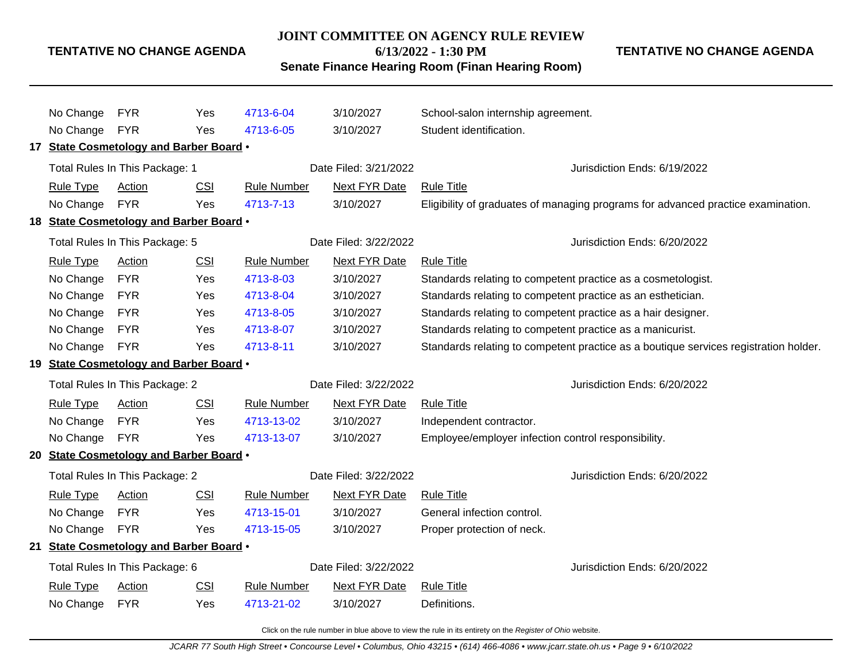#### **JOINT COMMITTEE ON AGENCY RULE REVIEW**

**6/13/2022 - 1:30 PM**

**TENTATIVE NO CHANGE AGENDA**

**Senate Finance Hearing Room (Finan Hearing Room)**

No Change FYR Yes [4713-6-04](http://www.registerofohio.state.oh.us/jsps/publicdisplayrules/processPublicDisplayRules.jsp?entered_rule_no=4713-6-04&doWhat=GETBYRULENUM&raID=0) 3/10/2027 School-salon internship agreement. No Change FYR Yes [4713-6-05](http://www.registerofohio.state.oh.us/jsps/publicdisplayrules/processPublicDisplayRules.jsp?entered_rule_no=4713-6-05&doWhat=GETBYRULENUM&raID=0) 3/10/2027 Student identification. **17 State Cosmetology and Barber Board** • Total Rules In This Package: 1 **Date Filed: 3/21/2022** Jurisdiction Ends: 6/19/2022 Rule Type Action CSI Rule Number Next FYR Date Rule Title No Change FYR Yes [4713-7-13](http://www.registerofohio.state.oh.us/jsps/publicdisplayrules/processPublicDisplayRules.jsp?entered_rule_no=4713-7-13&doWhat=GETBYRULENUM&raID=0) 3/10/2027 Eligibility of graduates of managing programs for advanced practice examination. **18 State Cosmetology and Barber Board** • Total Rules In This Package: 5 Date Filed: 3/22/2022 Jurisdiction Ends: 6/20/2022 Rule Type Action CSI Rule Number Next FYR Date Rule Title No Change FYR Yes [4713-8-03](http://www.registerofohio.state.oh.us/jsps/publicdisplayrules/processPublicDisplayRules.jsp?entered_rule_no=4713-8-03&doWhat=GETBYRULENUM&raID=0) 3/10/2027 Standards relating to competent practice as a cosmetologist. No Change FYR Yes [4713-8-04](http://www.registerofohio.state.oh.us/jsps/publicdisplayrules/processPublicDisplayRules.jsp?entered_rule_no=4713-8-04&doWhat=GETBYRULENUM&raID=0) 3/10/2027 Standards relating to competent practice as an esthetician. No Change FYR Yes [4713-8-05](http://www.registerofohio.state.oh.us/jsps/publicdisplayrules/processPublicDisplayRules.jsp?entered_rule_no=4713-8-05&doWhat=GETBYRULENUM&raID=0) 3/10/2027 Standards relating to competent practice as a hair designer. No Change FYR Yes [4713-8-07](http://www.registerofohio.state.oh.us/jsps/publicdisplayrules/processPublicDisplayRules.jsp?entered_rule_no=4713-8-07&doWhat=GETBYRULENUM&raID=0) 3/10/2027 Standards relating to competent practice as a manicurist. No Change FYR Yes [4713-8-11](http://www.registerofohio.state.oh.us/jsps/publicdisplayrules/processPublicDisplayRules.jsp?entered_rule_no=4713-8-11&doWhat=GETBYRULENUM&raID=0) 3/10/2027 Standards relating to competent practice as a boutique services registration holder. **19 State Cosmetology and Barber Board** • Total Rules In This Package: 2 Date Filed: 3/22/2022 Jurisdiction Ends: 6/20/2022 Rule Type Action CSI Rule Number Next FYR Date Rule Title No Change FYR Yes [4713-13-02](http://www.registerofohio.state.oh.us/jsps/publicdisplayrules/processPublicDisplayRules.jsp?entered_rule_no=4713-13-02&doWhat=GETBYRULENUM&raID=0) 3/10/2027 Independent contractor. No Change FYR Yes [4713-13-07](http://www.registerofohio.state.oh.us/jsps/publicdisplayrules/processPublicDisplayRules.jsp?entered_rule_no=4713-13-07&doWhat=GETBYRULENUM&raID=0) 3/10/2027 Employee/employer infection control responsibility. **20 State Cosmetology and Barber Board** • Total Rules In This Package: 2 **Date Filed: 3/22/2022** Jurisdiction Ends: 6/20/2022 Rule Type Action CSI Rule Number Next FYR Date Rule Title No Change FYR Yes [4713-15-01](http://www.registerofohio.state.oh.us/jsps/publicdisplayrules/processPublicDisplayRules.jsp?entered_rule_no=4713-15-01&doWhat=GETBYRULENUM&raID=0) 3/10/2027 General infection control. No Change FYR Yes [4713-15-05](http://www.registerofohio.state.oh.us/jsps/publicdisplayrules/processPublicDisplayRules.jsp?entered_rule_no=4713-15-05&doWhat=GETBYRULENUM&raID=0) 3/10/2027 Proper protection of neck. **21 State Cosmetology and Barber Board** • Total Rules In This Package: 6 **Date Filed: 3/22/2022** Jurisdiction Ends: 6/20/2022 Rule Type Action CSI Rule Number Next FYR Date Rule Title No Change FYR Yes [4713-21-02](http://www.registerofohio.state.oh.us/jsps/publicdisplayrules/processPublicDisplayRules.jsp?entered_rule_no=4713-21-02&doWhat=GETBYRULENUM&raID=0) 3/10/2027 Definitions.